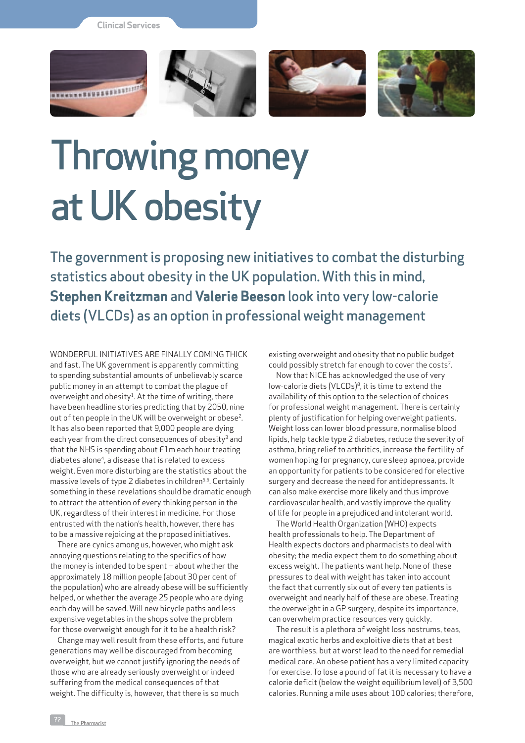**Clinical Services**



## Throwing money at UK obesity

The government is proposing new initiatives to combat the disturbing statistics about obesity in the UK population. With this in mind, **Stephen Kreitzman** and **Valerie Beeson** look into very low-calorie diets (VLCDs) as an option in professional weight management

Wonderful initiatives are finally coming thick and fast. The UK government is apparently committing to spending substantial amounts of unbelievably scarce public money in an attempt to combat the plague of overweight and obesity<sup>1</sup>. At the time of writing, there have been headline stories predicting that by 2050, nine out of ten people in the UK will be overweight or obese2. It has also been reported that 9,000 people are dying each year from the direct consequences of obesity<sup>3</sup> and that the NHS is spending about £1m each hour treating diabetes alone<sup>4</sup>, a disease that is related to excess weight. Even more disturbing are the statistics about the massive levels of type 2 diabetes in children<sup>5,6</sup>. Certainly something in these revelations should be dramatic enough to attract the attention of every thinking person in the UK, regardless of their interest in medicine. For those entrusted with the nation's health, however, there has to be a massive rejoicing at the proposed initiatives.

There are cynics among us, however, who might ask annoying questions relating to the specifics of how the money is intended to be spent – about whether the approximately 18 million people (about 30 per cent of the population) who are already obese will be sufficiently helped, or whether the average 25 people who are dying each day will be saved. Will new bicycle paths and less expensive vegetables in the shops solve the problem for those overweight enough for it to be a health risk?

Change may well result from these efforts, and future generations may well be discouraged from becoming overweight, but we cannot justify ignoring the needs of those who are already seriously overweight or indeed suffering from the medical consequences of that weight. The difficulty is, however, that there is so much

existing overweight and obesity that no public budget could possibly stretch far enough to cover the costs7.

Now that NICE has acknowledged the use of very low-calorie diets (VLCDs)<sup>8</sup>, it is time to extend the availability of this option to the selection of choices for professional weight management. There is certainly plenty of justification for helping overweight patients. Weight loss can lower blood pressure, normalise blood lipids, help tackle type 2 diabetes, reduce the severity of asthma, bring relief to arthritics, increase the fertility of women hoping for pregnancy, cure sleep apnoea, provide an opportunity for patients to be considered for elective surgery and decrease the need for antidepressants. It can also make exercise more likely and thus improve cardiovascular health, and vastly improve the quality of life for people in a prejudiced and intolerant world.

The World Health Organization (WHO) expects health professionals to help. The Department of Health expects doctors and pharmacists to deal with obesity; the media expect them to do something about excess weight. The patients want help. None of these pressures to deal with weight has taken into account the fact that currently six out of every ten patients is overweight and nearly half of these are obese. Treating the overweight in a GP surgery, despite its importance, can overwhelm practice resources very quickly.

The result is a plethora of weight loss nostrums, teas, magical exotic herbs and exploitive diets that at best are worthless, but at worst lead to the need for remedial medical care. An obese patient has a very limited capacity for exercise. To lose a pound of fat it is necessary to have a calorie deficit (below the weight equilibrium level) of 3,500 calories. Running a mile uses about 100 calories; therefore,